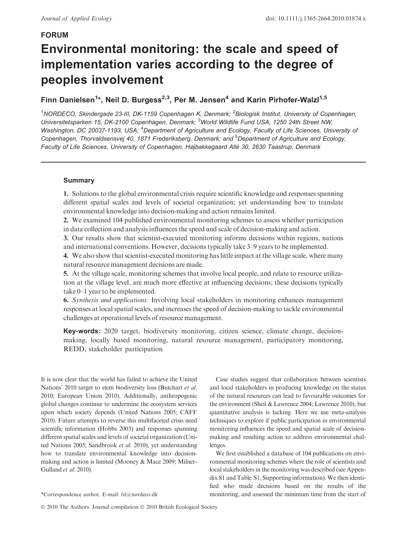### FORUM

# Environmental monitoring: the scale and speed of implementation varies according to the degree of peoples involvement

# Finn Danielsen<sup>1</sup>\*, Neil D. Burgess<sup>2,3</sup>, Per M. Jensen<sup>4</sup> and Karin Pirhofer-Walzl<sup>1,5</sup>

<sup>1</sup>NORDECO, Skindergade 23-III, DK-1159 Copenhagen K, Denmark; <sup>2</sup>Biologisk Institut, University of Copenhagen, Universitetsparken 15, DK-2100 Copenhagen, Denmark; <sup>3</sup>World Wildlife Fund USA, 1250 24th Street NW, Washington, DC 20037-1193, USA; <sup>4</sup>Department of Agriculture and Ecology, Faculty of Life Sciences, University ot Copenhagen, Thorvaldsensvej 40, 1871 Frederiksberg, Denmark; and <sup>5</sup>Department of Agriculture and Ecology, Faculty of Life Sciences, University of Copenhagen, Højbakkegaard Allé 30, 2630 Taastrup, Denmark

#### Summary

1. Solutions to the global environmental crisis require scientific knowledge and responses spanning different spatial scales and levels of societal organization; yet understanding how to translate environmental knowledge into decision-making and action remains limited.

2. We examined 104 published environmental monitoring schemes to assess whether participation in data collection and analysis influences the speed and scale of decision-making and action.

3. Our results show that scientist-executed monitoring informs decisions within regions, nations and international conventions. However, decisions typically take 3–9 years to be implemented.

4. We also show that scientist-executed monitoring has little impact at the village scale, where many natural resource management decisions are made.

5. At the village scale, monitoring schemes that involve local people, and relate to resource utilization at the village level, are much more effective at influencing decisions; these decisions typically take 0–1 year to be implemented.

6. Synthesis and applications: Involving local stakeholders in monitoring enhances management responses at local spatial scales, and increases the speed of decision-making to tackle environmental challenges at operational levels of resource management.

Key-words: 2020 target, biodiversity monitoring, citizen science, climate change, decisionmaking, locally based monitoring, natural resource management, participatory monitoring, REDD, stakeholder participation

It is now clear that the world has failed to achieve the United Nations' 2010 target to stem biodiversity loss (Butchart et al. 2010; European Union 2010). Additionally, anthropogenic global changes continue to undermine the ecosystem services upon which society depends (United Nations 2005; CAFF 2010). Future attempts to reverse this multifaceted crisis need scientific information (Hobbs 2003) and responses spanning different spatial scales and levels of societal organization (United Nations 2005; Sandbrook et al. 2010), yet understanding how to translate environmental knowledge into decisionmaking and action is limited (Mooney & Mace 2009; Milner-Gulland et al. 2010).

© 2010 The Authors. Journal compilation © 2010 British Ecological Society

Case studies suggest that collaboration between scientists and local stakeholders in producing knowledge on the status of the natural resources can lead to favourable outcomes for the environment (Sheil & Lawrence 2004; Lawrence 2010), but quantitative analysis is lacking. Here we use meta-analysis techniques to explore if public participation in environmental monitoring influences the speed and spatial scale of decisionmaking and resulting action to address environmental challenges.

We first established a database of 104 publications on environmental monitoring schemes where the role of scientists and local stakeholders in the monitoring was described (see Appendix S1 and Table S1, Supporting information). We then identified who made decisions based on the results of the \*Correspondence author. E-mail: fd@nordeco.dk monitoring, and assessed the minimum time from the start of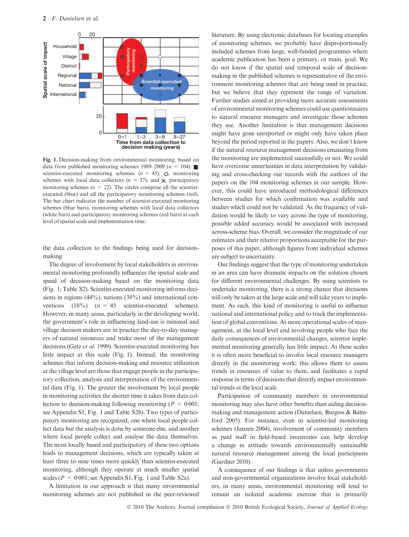

Fig. 1. Decision-making from environmental monitoring, based on data from published monitoring schemes 1989–2009 ( $n = 104$ ). scientist-executed monitoring schemes ( $n = 45$ ); O, monitoring schemes with local data collectors ( $n = 37$ ); and  $\lambda$ , participatory monitoring schemes ( $n = 22$ ). The circles comprise all the scientistexecuted (blue) and all the participatory monitoring schemes (red). The bar chart indicates the number of scientist-executed monitoring schemes (blue bars), monitoring schemes with local data collectors (white bars) and participatory monitoring schemes (red bars) at each level of spatial scale and implementation time.

the data collection to the findings being used for decisionmaking.

The degree of involvement by local stakeholders in environmental monitoring profoundly influences the spatial scale and speed of decision-making based on the monitoring data (Fig. 1; Table S2). Scientist-executed monitoring informs decisions in regions (44%), nations (38%) and international conventions  $(18\%)$   $(n = 45$  scientist-executed schemes). However, in many areas, particularly in the developing world, the government's role in influencing land-use is minimal and village decision makers are in practice the day-to-day managers of natural resources and make most of the management decisions (Getz et al. 1999). Scientist-executed monitoring has little impact at this scale (Fig. 1). Instead, the monitoring schemes that inform decision-making and resource utilization at the village level are those that engage people in the participatory collection, analysis and interpretation of the environmental data (Fig. 1). The greater the involvement by local people in monitoring activities the shorter time it takes from data collection to decision-making following monitoring ( $P \leq 0.001$ ; see Appendix S1, Fig. 1 and Table S2b). Two types of participatory monitoring are recognized; one where local people collect data but the analysis is done by someone else, and another where local people collect and analyse the data themselves. The most locally based and participatory of these two options leads to management decisions, which are typically taken at least three to nine times more quickly than scientist-executed monitoring, although they operate at much smaller spatial scales ( $P < 0.001$ ; see Appendix S1, Fig. 1 and Table S2a).

A limitation in our approach is that many environmental monitoring schemes are not published in the peer-reviewed literature. By using electronic databases for locating examples of monitoring schemes, we probably have disproportionally included schemes from large, well-funded programmes where academic publication has been a primary, or main, goal. We do not know if the spatial and temporal scale of decisionmaking in the published schemes is representative of the environment monitoring schemes that are being used in practice, but we believe that they represent the range of variation. Further studies aimed at providing more accurate assessments of environmental monitoring schemes could use questionnaires to natural resource managers and investigate those schemes they use. Another limitation is that management decisions might have gone unreported or might only have taken place beyond the period reported in the papers. Also, we don't know if the natural resource management decisions emanating from the monitoring are implemented successfully or not. We could have overcome uncertainties in data interpretation by validating and cross-checking our records with the authors of the papers on the 104 monitoring schemes in our sample. However, this could have introduced methodological differences between studies for which confirmation was available and studies which could not be validated. As the frequency of validation would be likely to vary across the type of monitoring, possible added accuracy would be associated with increased across-scheme bias. Overall, we consider the magnitude of our estimates and their relative proportions acceptable for the purposes of this paper, although figures from individual schemes are subject to uncertainty.

Our findings suggest that the type of monitoring undertaken in an area can have dramatic impacts on the solution chosen for different environmental challenges. By using scientists to undertake monitoring, there is a strong chance that decisions will only be taken at the large scale and will take years to implement. As such, this kind of monitoring is useful to influence national and international policy and to track the implementation of global conventions. At more operational scales of management, at the local level and involving people who face the daily consequences of environmental changes, scientist implemented monitoring generally has little impact. At these scales it is often more beneficial to involve local resource managers directly in the monitoring work; this allows them to assess trends in resources of value to them, and facilitates a rapid response in terms of decisions that directly impact environmental trends at the local scale.

Participation of community members in environmental monitoring may also have other benefits than aiding decisionmaking and management action (Danielsen, Burgess & Balmford 2005). For instance, even in scientist-led monitoring schemes (Janzen 2004), involvement of community members as paid staff in field-based inventories can help develop a change in attitude towards environmentally sustainable natural resource management among the local participants (Gardner 2010).

A consequence of our findings is that unless governments and non-governmental organizations involve local stakeholders, in many areas, environmental monitoring will tend to remain an isolated academic exercise that is primarily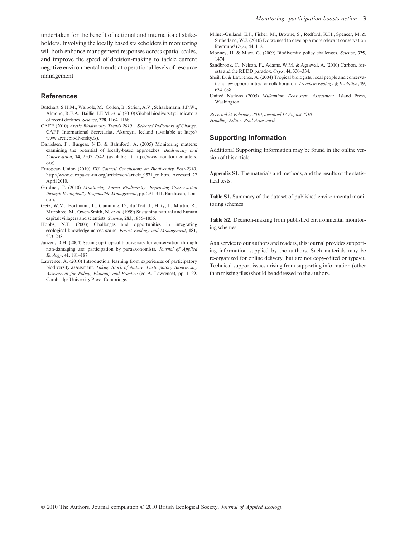undertaken for the benefit of national and international stakeholders. Involving the locally based stakeholders in monitoring will both enhance management responses across spatial scales, and improve the speed of decision-making to tackle current negative environmental trends at operational levels of resource management.

#### References

- Butchart, S.H.M., Walpole, M., Collen, B., Strien, A.V., Scharlemann, J.P.W., Almond, R.E.A., Baillie, J.E.M. et al. (2010) Global biodiversity: indicators of recent declines. Science, 328, 1164–1168.
- CAFF (2010) Arctic Biodiversity Trends 2010 Selected Indicators of Change. CAFF International Secretariat, Akureyri, Iceland (available at http:// www.arcticbiodiversity.is).
- Danielsen, F., Burgess, N.D. & Balmford, A. (2005) Monitoring matters: examining the potential of locally-based approaches. Biodiversity and Conservation, 14, 2507–2542. (available at http://www.monitoringmatters. org).
- European Union (2010) EU Council Conclusions on Biodiversity Post-2010. http://www.europa-eu-un.org/articles/en/article\_9571\_en.htm. Accessed 22 April 2010.
- Gardner, T. (2010) Monitoring Forest Biodiversity. Improving Conservation through Ecologically Responsible Management, pp. 291–311. Earthscan, London.
- Getz, W.M., Fortmann, L., Cumming, D., du Toit, J., Hilty, J., Martin, R., Murphree, M., Owen-Smith, N. et al. (1999) Sustaining natural and human capital: villagers and scientists. Science, 283, 1855-1856.
- Hobbs, N.T. (2003) Challenges and opportunities in integrating ecological knowledge across scales. Forest Ecology and Management, 181, 223–238.
- Janzen, D.H. (2004) Setting up tropical biodiversity for conservation through non-damaging use: participation by paraaxonomists. Journal of Applied Ecology, 41, 181–187.
- Lawrence, A. (2010) Introduction: learning from experiences of participatory biodiversity assessment. Taking Stock of Nature. Participatory Biodiversity Assessment for Policy, Planning and Practice (ed A. Lawrence), pp. 1–29. Cambridge University Press, Cambridge.
- Milner-Gulland, E.J., Fisher, M., Browne, S., Redford, K.H., Spencer, M. & Sutherland, W.J. (2010) Do we need to develop a more relevant conservation literature?  $Orrx$ , 44, 1-2.
- Mooney, H. & Mace, G. (2009) Biodiversity policy challenges. Science, 325, 1474.
- Sandbrook, C., Nelson, F., Adams, W.M. & Agrawal, A. (2010) Carbon, forests and the REDD paradox. Oryx, 44, 330–334.
- Sheil, D. & Lawrence, A. (2004) Tropical biologists, local people and conservation: new opportunities for collaboration. Trends in Ecology & Evolution, 19, 634–638.
- United Nations (2005) Millennium Ecosystem Assessment. Island Press, Washington.

Received 25 February 2010; accepted 17 August 2010 Handling Editor: Paul Armsworth

#### Supporting Information

Additional Supporting Information may be found in the online version of this article:

Appendix S1. The materials and methods, and the results of the statistical tests.

Table S1. Summary of the dataset of published environmental monitoring schemes.

Table S2. Decision-making from published environmental monitoring schemes.

As a service to our authors and readers, this journal provides supporting information supplied by the authors. Such materials may be re-organized for online delivery, but are not copy-edited or typeset. Technical support issues arising from supporting information (other than missing files) should be addressed to the authors.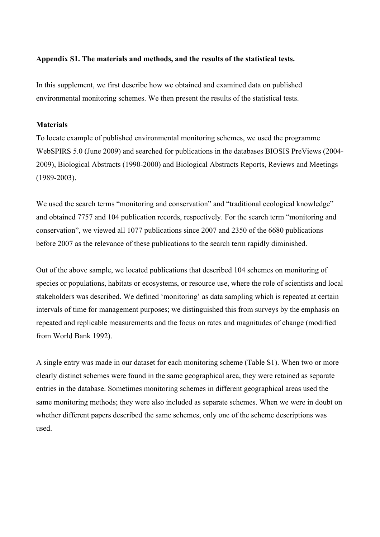## **Appendix S1. The materials and methods, and the results of the statistical tests.**

In this supplement, we first describe how we obtained and examined data on published environmental monitoring schemes. We then present the results of the statistical tests.

# **Materials**

To locate example of published environmental monitoring schemes, we used the programme WebSPIRS 5.0 (June 2009) and searched for publications in the databases BIOSIS PreViews (2004- 2009), Biological Abstracts (1990-2000) and Biological Abstracts Reports, Reviews and Meetings (1989-2003).

We used the search terms "monitoring and conservation" and "traditional ecological knowledge" and obtained 7757 and 104 publication records, respectively. For the search term "monitoring and conservation", we viewed all 1077 publications since 2007 and 2350 of the 6680 publications before 2007 as the relevance of these publications to the search term rapidly diminished.

Out of the above sample, we located publications that described 104 schemes on monitoring of species or populations, habitats or ecosystems, or resource use, where the role of scientists and local stakeholders was described. We defined 'monitoring' as data sampling which is repeated at certain intervals of time for management purposes; we distinguished this from surveys by the emphasis on repeated and replicable measurements and the focus on rates and magnitudes of change (modified from World Bank 1992).

A single entry was made in our dataset for each monitoring scheme (Table S1). When two or more clearly distinct schemes were found in the same geographical area, they were retained as separate entries in the database. Sometimes monitoring schemes in different geographical areas used the same monitoring methods; they were also included as separate schemes. When we were in doubt on whether different papers described the same schemes, only one of the scheme descriptions was used.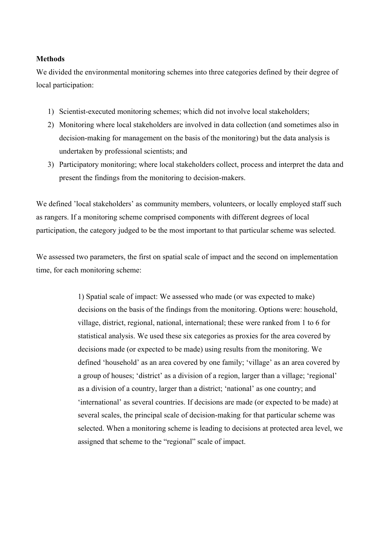# **Methods**

We divided the environmental monitoring schemes into three categories defined by their degree of local participation:

- 1) Scientist-executed monitoring schemes; which did not involve local stakeholders;
- 2) Monitoring where local stakeholders are involved in data collection (and sometimes also in decision-making for management on the basis of the monitoring) but the data analysis is undertaken by professional scientists; and
- 3) Participatory monitoring; where local stakeholders collect, process and interpret the data and present the findings from the monitoring to decision-makers.

We defined 'local stakeholders' as community members, volunteers, or locally employed staff such as rangers. If a monitoring scheme comprised components with different degrees of local participation, the category judged to be the most important to that particular scheme was selected.

We assessed two parameters, the first on spatial scale of impact and the second on implementation time, for each monitoring scheme:

> 1) Spatial scale of impact: We assessed who made (or was expected to make) decisions on the basis of the findings from the monitoring. Options were: household, village, district, regional, national, international; these were ranked from 1 to 6 for statistical analysis. We used these six categories as proxies for the area covered by decisions made (or expected to be made) using results from the monitoring. We defined 'household' as an area covered by one family; 'village' as an area covered by a group of houses; 'district' as a division of a region, larger than a village; 'regional' as a division of a country, larger than a district; 'national' as one country; and 'international' as several countries. If decisions are made (or expected to be made) at several scales, the principal scale of decision-making for that particular scheme was selected. When a monitoring scheme is leading to decisions at protected area level, we assigned that scheme to the "regional" scale of impact.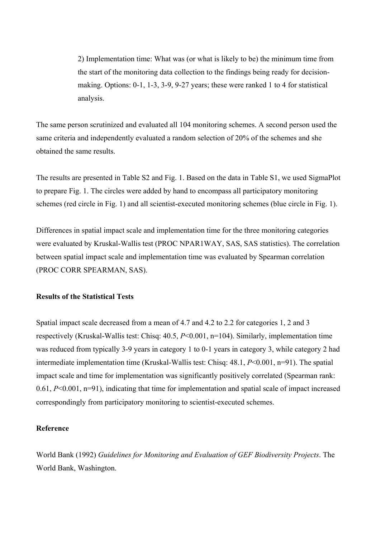2) Implementation time: What was (or what is likely to be) the minimum time from the start of the monitoring data collection to the findings being ready for decisionmaking. Options: 0-1, 1-3, 3-9, 9-27 years; these were ranked 1 to 4 for statistical analysis.

The same person scrutinized and evaluated all 104 monitoring schemes. A second person used the same criteria and independently evaluated a random selection of 20% of the schemes and she obtained the same results.

The results are presented in Table S2 and Fig. 1. Based on the data in Table S1, we used SigmaPlot to prepare Fig. 1. The circles were added by hand to encompass all participatory monitoring schemes (red circle in Fig. 1) and all scientist-executed monitoring schemes (blue circle in Fig. 1).

Differences in spatial impact scale and implementation time for the three monitoring categories were evaluated by Kruskal-Wallis test (PROC NPAR1WAY, SAS, SAS statistics). The correlation between spatial impact scale and implementation time was evaluated by Spearman correlation (PROC CORR SPEARMAN, SAS).

## **Results of the Statistical Tests**

Spatial impact scale decreased from a mean of 4.7 and 4.2 to 2.2 for categories 1, 2 and 3 respectively (Kruskal-Wallis test: Chisq: 40.5, *P*<0.001, n=104). Similarly, implementation time was reduced from typically 3-9 years in category 1 to 0-1 years in category 3, while category 2 had intermediate implementation time (Kruskal-Wallis test: Chisq: 48.1, *P*<0.001, n=91). The spatial impact scale and time for implementation was significantly positively correlated (Spearman rank: 0.61, *P*<0.001, n=91), indicating that time for implementation and spatial scale of impact increased correspondingly from participatory monitoring to scientist-executed schemes.

## **Reference**

World Bank (1992) *Guidelines for Monitoring and Evaluation of GEF Biodiversity Projects*. The World Bank, Washington.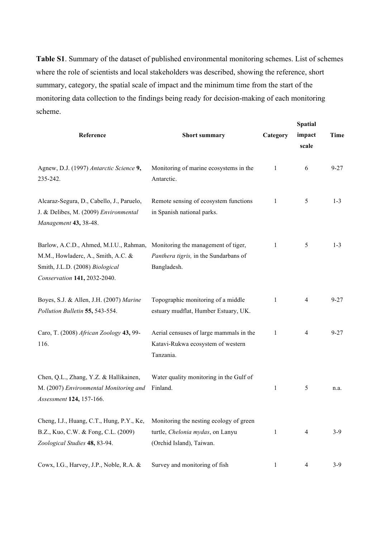**Table S1**. Summary of the dataset of published environmental monitoring schemes. List of schemes where the role of scientists and local stakeholders was described, showing the reference, short summary, category, the spatial scale of impact and the minimum time from the start of the monitoring data collection to the findings being ready for decision-making of each monitoring scheme.

| Reference                                                                                                                                       | <b>Short summary</b>                                                                                    | Category | <b>Spatial</b><br>impact<br>scale | <b>Time</b> |
|-------------------------------------------------------------------------------------------------------------------------------------------------|---------------------------------------------------------------------------------------------------------|----------|-----------------------------------|-------------|
| Agnew, D.J. (1997) Antarctic Science 9,<br>235-242.                                                                                             | Monitoring of marine ecosystems in the<br>Antarctic.                                                    | 1        | 6                                 | $9 - 27$    |
| Alcaraz-Segura, D., Cabello, J., Paruelo,<br>J. & Delibes, M. (2009) Environmental<br>Management 43, 38-48.                                     | Remote sensing of ecosystem functions<br>in Spanish national parks.                                     | 1        | 5                                 | $1 - 3$     |
| Barlow, A.C.D., Ahmed, M.I.U., Rahman,<br>M.M., Howladerc, A., Smith, A.C. &<br>Smith, J.L.D. (2008) Biological<br>Conservation 141, 2032-2040. | Monitoring the management of tiger,<br>Panthera tigris, in the Sundarbans of<br>Bangladesh.             | 1        | 5                                 | $1 - 3$     |
| Boyes, S.J. & Allen, J.H. (2007) Marine<br>Pollution Bulletin 55, 543-554.                                                                      | Topographic monitoring of a middle<br>estuary mudflat, Humber Estuary, UK.                              | 1        | $\overline{4}$                    | $9 - 27$    |
| Caro, T. (2008) African Zoology 43, 99-<br>116.                                                                                                 | Aerial censuses of large mammals in the<br>Katavi-Rukwa ecosystem of western<br>Tanzania.               | 1        | $\overline{4}$                    | $9 - 27$    |
| Chen, Q.L., Zhang, Y.Z. & Hallikainen,<br>M. (2007) Environmental Monitoring and<br>Assessment 124, 157-166.                                    | Water quality monitoring in the Gulf of<br>Finland.                                                     | 1        | 5                                 | n.a.        |
| Cheng, I.J., Huang, C.T., Hung, P.Y., Ke,<br>B.Z., Kuo, C.W. & Fong, C.L. (2009)<br>Zoological Studies 48, 83-94.                               | Monitoring the nesting ecology of green<br>turtle, Chelonia mydas, on Lanyu<br>(Orchid Island), Taiwan. | 1        | $\overline{4}$                    | $3-9$       |
| Cowx, I.G., Harvey, J.P., Noble, R.A. &                                                                                                         | Survey and monitoring of fish                                                                           |          | 4                                 | $3-9$       |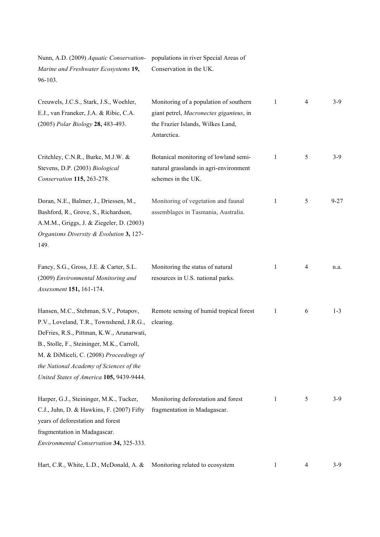Nunn, A.D. (2009) *Aquatic Conservation-*populations in river Special Areas of *Marine and Freshwater Ecosystems* **19,** 96-103. Conservation in the UK.

| Creuwels, J.C.S., Stark, J.S., Woehler,<br>E.J., van Franeker, J.A. & Ribic, C.A.<br>(2005) Polar Biology 28, 483-493.                                                                                                                                                                                         | Monitoring of a population of southern<br>giant petrel, Macronectes giganteus, in<br>the Frazier Islands, Wilkes Land,<br>Antarctica. | 1 | 4 | $3-9$    |
|----------------------------------------------------------------------------------------------------------------------------------------------------------------------------------------------------------------------------------------------------------------------------------------------------------------|---------------------------------------------------------------------------------------------------------------------------------------|---|---|----------|
| Critchley, C.N.R., Burke, M.J.W. &<br>Stevens, D.P. (2003) Biological<br>Conservation 115, 263-278.                                                                                                                                                                                                            | Botanical monitoring of lowland semi-<br>natural grasslands in agri-environment<br>schemes in the UK.                                 | 1 | 5 | $3-9$    |
| Doran, N.E., Balmer, J., Driessen, M.,<br>Bashford, R., Grove, S., Richardson,<br>A.M.M., Griggs, J. & Ziegeler, D. (2003)<br>Organisms Diversity & Evolution 3, 127-<br>149.                                                                                                                                  | Monitoring of vegetation and faunal<br>assemblages in Tasmania, Australia.                                                            | 1 | 5 | $9 - 27$ |
| Fancy, S.G., Gross, J.E. & Carter, S.L.<br>(2009) Environmental Monitoring and<br>Assessment 151, 161-174.                                                                                                                                                                                                     | Monitoring the status of natural<br>resources in U.S. national parks.                                                                 | 1 | 4 | n.a.     |
| Hansen, M.C., Stehman, S.V., Potapov,<br>P.V., Loveland, T.R., Townshend, J.R.G.,<br>DeFries, R.S., Pittman, K.W., Arunarwati,<br>B., Stolle, F., Steininger, M.K., Carroll,<br>M. & DiMiceli, C. (2008) Proceedings of<br>the National Academy of Sciences of the<br>United States of America 105, 9439-9444. | Remote sensing of humid tropical forest<br>clearing.                                                                                  | 1 | 6 | $1 - 3$  |
| Harper, G.J., Steininger, M.K., Tucker,<br>C.J., Juhn, D. & Hawkins, F. (2007) Fifty<br>years of deforestation and forest<br>fragmentation in Madagascar.<br>Environmental Conservation 34, 325-333.                                                                                                           | Monitoring deforestation and forest<br>fragmentation in Madagascar.                                                                   | 1 | 5 | $3-9$    |
| Hart, C.R., White, L.D., McDonald, A. &                                                                                                                                                                                                                                                                        | Monitoring related to ecosystem                                                                                                       | 1 | 4 | $3-9$    |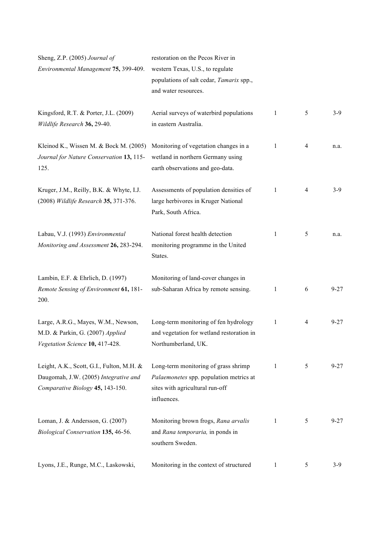| Sheng, Z.P. (2005) Journal of<br>Environmental Management 75, 399-409.                                                 | restoration on the Pecos River in<br>western Texas, U.S., to regulate<br>populations of salt cedar, Tamarix spp.,<br>and water resources. |              |   |          |
|------------------------------------------------------------------------------------------------------------------------|-------------------------------------------------------------------------------------------------------------------------------------------|--------------|---|----------|
| Kingsford, R.T. & Porter, J.L. (2009)<br>Wildlife Research 36, 29-40.                                                  | Aerial surveys of waterbird populations<br>in eastern Australia.                                                                          | 1            | 5 | $3-9$    |
| Kleinod K., Wissen M. & Bock M. (2005)<br>Journal for Nature Conservation 13, 115-<br>125.                             | Monitoring of vegetation changes in a<br>wetland in northern Germany using<br>earth observations and geo-data.                            | 1            | 4 | n.a.     |
| Kruger, J.M., Reilly, B.K. & Whyte, I.J.<br>(2008) Wildlife Research 35, 371-376.                                      | Assessments of population densities of<br>large herbivores in Kruger National<br>Park, South Africa.                                      | 1            | 4 | $3-9$    |
| Labau, V.J. (1993) Environmental<br>Monitoring and Assessment 26, 283-294.                                             | National forest health detection<br>monitoring programme in the United<br>States.                                                         | 1            | 5 | n.a.     |
| Lambin, E.F. & Ehrlich, D. (1997)<br>Remote Sensing of Environment 61, 181-<br>200.                                    | Monitoring of land-cover changes in<br>sub-Saharan Africa by remote sensing.                                                              | 1            | 6 | $9 - 27$ |
| Large, A.R.G., Mayes, W.M., Newson,<br>M.D. & Parkin, G. (2007) Applied<br>Vegetation Science 10, 417-428.             | Long-term monitoring of fen hydrology<br>and vegetation for wetland restoration in<br>Northumberland, UK.                                 | 1            | 4 | $9 - 27$ |
| Leight, A.K., Scott, G.I., Fulton, M.H. &<br>Daugomah, J.W. (2005) Integrative and<br>Comparative Biology 45, 143-150. | Long-term monitoring of grass shrimp<br>Palaemonetes spp. population metrics at<br>sites with agricultural run-off<br>influences.         | $\mathbf{1}$ | 5 | $9 - 27$ |
| Loman, J. & Andersson, G. (2007)<br>Biological Conservation 135, 46-56.                                                | Monitoring brown frogs, Rana arvalis<br>and Rana temporaria, in ponds in<br>southern Sweden.                                              | 1            | 5 | $9 - 27$ |
| Lyons, J.E., Runge, M.C., Laskowski,                                                                                   | Monitoring in the context of structured                                                                                                   | 1            | 5 | $3-9$    |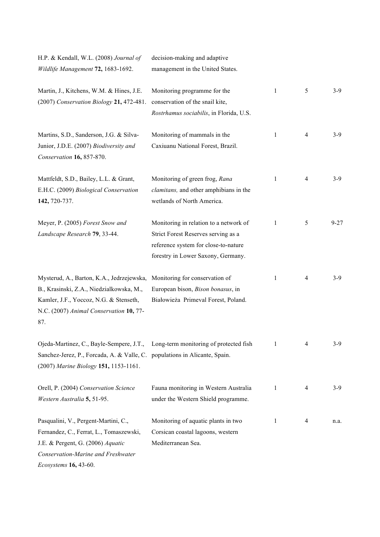| H.P. & Kendall, W.L. (2008) Journal of<br>Wildlife Management 72, 1683-1692.                                                                                                                           | decision-making and adaptive<br>management in the United States.                                                                                            |              |                |          |
|--------------------------------------------------------------------------------------------------------------------------------------------------------------------------------------------------------|-------------------------------------------------------------------------------------------------------------------------------------------------------------|--------------|----------------|----------|
| Martin, J., Kitchens, W.M. & Hines, J.E.<br>(2007) Conservation Biology 21, 472-481.                                                                                                                   | Monitoring programme for the<br>conservation of the snail kite,<br>Rostrhamus sociabilis, in Florida, U.S.                                                  | $\mathbf{1}$ | 5              | $3-9$    |
| Martins, S.D., Sanderson, J.G. & Silva-<br>Junior, J.D.E. (2007) Biodiversity and<br>Conservation 16, 857-870.                                                                                         | Monitoring of mammals in the<br>Caxiuanu National Forest, Brazil.                                                                                           | 1            | $\overline{4}$ | $3-9$    |
| Mattfeldt, S.D., Bailey, L.L. & Grant,<br>E.H.C. (2009) Biological Conservation<br>142, 720-737.                                                                                                       | Monitoring of green frog, Rana<br>clamitans, and other amphibians in the<br>wetlands of North America.                                                      | $\mathbf{1}$ | $\overline{4}$ | $3-9$    |
| Meyer, P. (2005) Forest Snow and<br>Landscape Research 79, 33-44.                                                                                                                                      | Monitoring in relation to a network of<br>Strict Forest Reserves serving as a<br>reference system for close-to-nature<br>forestry in Lower Saxony, Germany. | 1            | 5              | $9 - 27$ |
| Mysterud, A., Barton, K.A., Jedrzejewska,<br>B., Krasinski, Z.A., Niedzialkowska, M.,<br>Kamler, J.F., Yoccoz, N.G. & Stenseth,<br>N.C. (2007) Animal Conservation 10, 77-<br>87.                      | Monitoring for conservation of<br>European bison, Bison bonasus, in<br>Białowieża Primeval Forest, Poland.                                                  | 1            | $\overline{4}$ | $3-9$    |
| Ojeda-Martinez, C., Bayle-Sempere, J.T., Long-term monitoring of protected fish<br>Sanchez-Jerez, P., Forcada, A. & Valle, C. populations in Alicante, Spain.<br>(2007) Marine Biology 151, 1153-1161. |                                                                                                                                                             | 1            | 4              | $3-9$    |
| Orell, P. (2004) Conservation Science<br>Western Australia 5, 51-95.                                                                                                                                   | Fauna monitoring in Western Australia<br>under the Western Shield programme.                                                                                | 1            | 4              | $3-9$    |
| Pasqualini, V., Pergent-Martini, C.,<br>Fernandez, C., Ferrat, L., Tomaszewski,<br>J.E. & Pergent, G. (2006) Aquatic<br>Conservation-Marine and Freshwater<br>Ecosystems 16, 43-60.                    | Monitoring of aquatic plants in two<br>Corsican coastal lagoons, western<br>Mediterranean Sea.                                                              | 1            | 4              | n.a.     |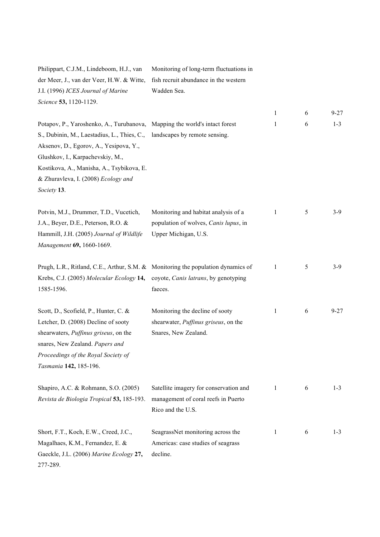| Philippart, C.J.M., Lindeboom, H.J., van<br>der Meer, J., van der Veer, H.W. & Witte,<br>J.I. (1996) ICES Journal of Marine<br>Science 53, 1120-1129.                                                                                                                    | Monitoring of long-term fluctuations in<br>fish recruit abundance in the western<br>Wadden Sea.       |   |   |          |  |
|--------------------------------------------------------------------------------------------------------------------------------------------------------------------------------------------------------------------------------------------------------------------------|-------------------------------------------------------------------------------------------------------|---|---|----------|--|
|                                                                                                                                                                                                                                                                          |                                                                                                       | 1 | 6 | $9 - 27$ |  |
| Potapov, P., Yaroshenko, A., Turubanova,<br>S., Dubinin, M., Laestadius, L., Thies, C.,<br>Aksenov, D., Egorov, A., Yesipova, Y.,<br>Glushkov, I., Karpachevskiy, M.,<br>Kostikova, A., Manisha, A., Tsybikova, E.<br>& Zhuravleva, I. (2008) Ecology and<br>Society 13. | Mapping the world's intact forest<br>landscapes by remote sensing.                                    | 1 | 6 | $1 - 3$  |  |
| Potvin, M.J., Drummer, T.D., Vucetich,<br>J.A., Beyer, D.E., Peterson, R.O. &<br>Hammill, J.H. (2005) Journal of Wildlife<br>Management 69, 1660-1669.                                                                                                                   | Monitoring and habitat analysis of a<br>population of wolves, Canis lupus, in<br>Upper Michigan, U.S. | 1 | 5 | $3-9$    |  |
| Prugh, L.R., Ritland, C.E., Arthur, S.M. & Monitoring the population dynamics of<br>Krebs, C.J. (2005) Molecular Ecology 14,<br>1585-1596.                                                                                                                               | coyote, Canis latrans, by genotyping<br>faeces.                                                       | 1 | 5 | $3-9$    |  |
| Scott, D., Scofield, P., Hunter, C. &<br>Letcher, D. (2008) Decline of sooty<br>shearwaters, Puffinus griseus, on the<br>snares, New Zealand. Papers and<br>Proceedings of the Royal Society of<br>Tasmania 142, 185-196.                                                | Monitoring the decline of sooty<br>shearwater, Puffinus griseus, on the<br>Snares, New Zealand.       | 1 | 6 | $9 - 27$ |  |
| Shapiro, A.C. & Rohmann, S.O. (2005)<br>Revista de Biologia Tropical 53, 185-193.                                                                                                                                                                                        | Satellite imagery for conservation and<br>management of coral reefs in Puerto<br>Rico and the U.S.    | 1 | 6 | $1 - 3$  |  |
| Short, F.T., Koch, E.W., Creed, J.C.,<br>Magalhaes, K.M., Fernandez, E. &<br>Gaeckle, J.L. (2006) Marine Ecology 27,                                                                                                                                                     | SeagrassNet monitoring across the<br>Americas: case studies of seagrass<br>decline.                   | 1 | 6 | $1 - 3$  |  |

277-289.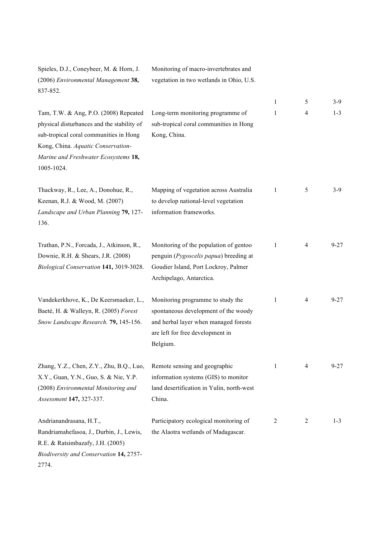| Spieles, D.J., Coneybeer, M. & Horn, J.<br>(2006) Environmental Management 38,<br>837-852.                                                                                                                                | Monitoring of macro-invertebrates and<br>vegetation in two wetlands in Ohio, U.S.                                                                                  |   |                |          |
|---------------------------------------------------------------------------------------------------------------------------------------------------------------------------------------------------------------------------|--------------------------------------------------------------------------------------------------------------------------------------------------------------------|---|----------------|----------|
|                                                                                                                                                                                                                           |                                                                                                                                                                    | 1 | 5              | $3-9$    |
| Tam, T.W. & Ang, P.O. (2008) Repeated<br>physical disturbances and the stability of<br>sub-tropical coral communities in Hong<br>Kong, China. Aquatic Conservation-<br>Marine and Freshwater Ecosystems 18,<br>1005-1024. | Long-term monitoring programme of<br>sub-tropical coral communities in Hong<br>Kong, China.                                                                        | 1 | 4              | $1 - 3$  |
| Thackway, R., Lee, A., Donohue, R.,<br>Keenan, R.J. & Wood, M. (2007)<br>Landscape and Urban Planning 79, 127-<br>136.                                                                                                    | Mapping of vegetation across Australia<br>to develop national-level vegetation<br>information frameworks.                                                          | 1 | 5              | $3-9$    |
| Trathan, P.N., Forcada, J., Atkinson, R.,<br>Downie, R.H. & Shears, J.R. (2008)<br>Biological Conservation 141, 3019-3028.                                                                                                | Monitoring of the population of gentoo<br>penguin (Pygoscelis papua) breeding at<br>Goudier Island, Port Lockroy, Palmer<br>Archipelago, Antarctica.               | 1 | $\overline{4}$ | $9 - 27$ |
| Vandekerkhove, K., De Keersmaeker, L.,<br>Baeté, H. & Walleyn, R. (2005) Forest<br>Snow Landscape Research. 79, 145-156.                                                                                                  | Monitoring programme to study the<br>spontaneous development of the woody<br>and herbal layer when managed forests<br>are left for free development in<br>Belgium. | 1 | 4              | $9 - 27$ |
| Zhang, Y.Z., Chen, Z.Y., Zhu, B.Q., Luo,<br>X.Y., Guan, Y.N., Guo, S. & Nie, Y.P.<br>(2008) Environmental Monitoring and<br>Assessment 147, 327-337.                                                                      | Remote sensing and geographic<br>information systems (GIS) to monitor<br>land desertification in Yulin, north-west<br>China.                                       | 1 | 4              | $9 - 27$ |
| Andrianandrasana, H.T.,<br>Randriamahefasoa, J., Durbin, J., Lewis,<br>R.E. & Ratsimbazafy, J.H. (2005)<br>Biodiversity and Conservation 14, 2757-<br>2774.                                                               | Participatory ecological monitoring of<br>the Alaotra wetlands of Madagascar.                                                                                      | 2 | 2              | $1 - 3$  |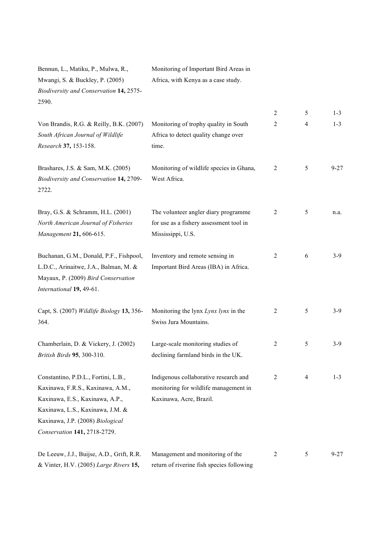| Bennun, L., Matiku, P., Mulwa, R.,        | Monitoring of Important Bird Areas in     |                |                |          |
|-------------------------------------------|-------------------------------------------|----------------|----------------|----------|
| Mwangi, S. & Buckley, P. (2005)           | Africa, with Kenya as a case study.       |                |                |          |
| Biodiversity and Conservation 14, 2575-   |                                           |                |                |          |
| 2590.                                     |                                           |                |                |          |
|                                           |                                           | 2              | 5              | $1 - 3$  |
| Von Brandis, R.G. & Reilly, B.K. (2007)   | Monitoring of trophy quality in South     | 2              | $\overline{4}$ | $1 - 3$  |
| South African Journal of Wildlife         | Africa to detect quality change over      |                |                |          |
| Research 37, 153-158.                     | time.                                     |                |                |          |
| Brashares, J.S. & Sam, M.K. (2005)        | Monitoring of wildlife species in Ghana,  | $\overline{2}$ | 5              | $9 - 27$ |
| Biodiversity and Conservation 14, 2709-   | West Africa.                              |                |                |          |
| 2722.                                     |                                           |                |                |          |
| Bray, G.S. & Schramm, H.L. (2001)         | The volunteer angler diary programme      | $\overline{2}$ | 5              | n.a.     |
| North American Journal of Fisheries       | for use as a fishery assessment tool in   |                |                |          |
| Management 21, 606-615.                   | Mississippi, U.S.                         |                |                |          |
| Buchanan, G.M., Donald, P.F., Fishpool,   | Inventory and remote sensing in           | 2              | 6              | $3-9$    |
| L.D.C., Arinaitwe, J.A., Balman, M. &     | Important Bird Areas (IBA) in Africa.     |                |                |          |
| Mayaux, P. (2009) Bird Conservation       |                                           |                |                |          |
| International 19, 49-61.                  |                                           |                |                |          |
| Capt, S. (2007) Wildlife Biology 13, 356- | Monitoring the lynx Lynx lynx in the      | 2              | 5              | $3-9$    |
| 364.                                      | Swiss Jura Mountains.                     |                |                |          |
| Chamberlain, D. & Vickery, J. (2002)      | Large-scale monitoring studies of         | 2              | 5              | $3-9$    |
| British Birds 95, 300-310.                | declining farmland birds in the UK.       |                |                |          |
| Constantino, P.D.L., Fortini, L.B.,       | Indigenous collaborative research and     | $\overline{2}$ | 4              | $1 - 3$  |
| Kaxinawa, F.R.S., Kaxinawa, A.M.,         | monitoring for wildlife management in     |                |                |          |
| Kaxinawa, E.S., Kaxinawa, A.P.,           | Kaxinawa, Acre, Brazil.                   |                |                |          |
| Kaxinawa, L.S., Kaxinawa, J.M. &          |                                           |                |                |          |
| Kaxinawa, J.P. (2008) Biological          |                                           |                |                |          |
| Conservation 141, 2718-2729.              |                                           |                |                |          |
| De Leeuw, J.J., Buijse, A.D., Grift, R.R. | Management and monitoring of the          | 2              | 5              | $9 - 27$ |
| & Vinter, H.V. (2005) Large Rivers 15,    | return of riverine fish species following |                |                |          |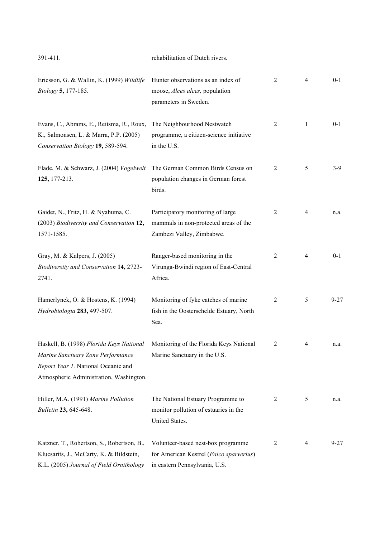| 391-411.                                                                                                                                                        | rehabilitation of Dutch rivers.                                                                                |                |                |          |
|-----------------------------------------------------------------------------------------------------------------------------------------------------------------|----------------------------------------------------------------------------------------------------------------|----------------|----------------|----------|
| Ericsson, G. & Wallin, K. (1999) Wildlife<br>Biology 5, 177-185.                                                                                                | Hunter observations as an index of<br>moose, Alces alces, population<br>parameters in Sweden.                  | $\overline{2}$ | $\overline{4}$ | $0 - 1$  |
| Evans, C., Abrams, E., Reitsma, R., Roux,<br>K., Salmonsen, L. & Marra, P.P. (2005)<br>Conservation Biology 19, 589-594.                                        | The Neighbourhood Nestwatch<br>programme, a citizen-science initiative<br>in the U.S.                          | $\overline{2}$ | 1              | $0 - 1$  |
| Flade, M. & Schwarz, J. (2004) Vogelwelt<br>125, 177-213.                                                                                                       | The German Common Birds Census on<br>population changes in German forest<br>birds.                             | $\overline{2}$ | 5              | $3-9$    |
| Gaidet, N., Fritz, H. & Nyahuma, C.<br>(2003) Biodiversity and Conservation 12,<br>1571-1585.                                                                   | Participatory monitoring of large<br>mammals in non-protected areas of the<br>Zambezi Valley, Zimbabwe.        | $\overline{2}$ | $\overline{4}$ | n.a.     |
| Gray, M. & Kalpers, J. (2005)<br>Biodiversity and Conservation 14, 2723-<br>2741.                                                                               | Ranger-based monitoring in the<br>Virunga-Bwindi region of East-Central<br>Africa.                             | $\overline{2}$ | $\overline{4}$ | $0 - 1$  |
| Hamerlynck, O. & Hostens, K. (1994)<br>Hydrobiologia 283, 497-507.                                                                                              | Monitoring of fyke catches of marine<br>fish in the Oosterschelde Estuary, North<br>Sea.                       | $\overline{2}$ | 5              | $9 - 27$ |
| Haskell, B. (1998) Florida Keys National<br>Marine Sanctuary Zone Performance<br>Report Year 1. National Oceanic and<br>Atmospheric Administration, Washington. | Monitoring of the Florida Keys National<br>Marine Sanctuary in the U.S.                                        | $\overline{2}$ | 4              | n.a.     |
| Hiller, M.A. (1991) Marine Pollution<br>Bulletin 23, 645-648.                                                                                                   | The National Estuary Programme to<br>monitor pollution of estuaries in the<br>United States.                   | $\overline{2}$ | 5              | n.a.     |
| Katzner, T., Robertson, S., Robertson, B.,<br>Klucsarits, J., McCarty, K. & Bildstein,<br>K.L. (2005) Journal of Field Ornithology                              | Volunteer-based nest-box programme<br>for American Kestrel (Falco sparverius)<br>in eastern Pennsylvania, U.S. | 2              | 4              | $9 - 27$ |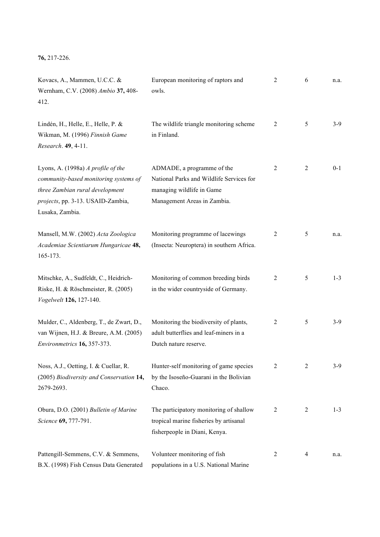# **76,** 217-226.

| Kovacs, A., Mammen, U.C.C. &<br>Wernham, C.V. (2008) Ambio 37, 408-<br>412.                                                                                            | European monitoring of raptors and<br>owls.                                                                                        | 2              | 6              | n.a.    |
|------------------------------------------------------------------------------------------------------------------------------------------------------------------------|------------------------------------------------------------------------------------------------------------------------------------|----------------|----------------|---------|
| Lindén, H., Helle, E., Helle, P. &<br>Wikman, M. (1996) Finnish Game<br>Research. 49, 4-11.                                                                            | The wildlife triangle monitoring scheme<br>in Finland.                                                                             | 2              | 5              | $3-9$   |
| Lyons, A. (1998a) A profile of the<br>community-based monitoring systems of<br>three Zambian rural development<br>projects, pp. 3-13. USAID-Zambia,<br>Lusaka, Zambia. | ADMADE, a programme of the<br>National Parks and Wildlife Services for<br>managing wildlife in Game<br>Management Areas in Zambia. | 2              | $\overline{2}$ | $0 - 1$ |
| Mansell, M.W. (2002) Acta Zoologica<br>Academiae Scientiarum Hungaricae 48,<br>165-173.                                                                                | Monitoring programme of lacewings<br>(Insecta: Neuroptera) in southern Africa.                                                     | 2              | 5              | n.a.    |
| Mitschke, A., Sudfeldt, C., Heidrich-<br>Riske, H. & Röschmeister, R. (2005)<br>Vogelwelt 126, 127-140.                                                                | Monitoring of common breeding birds<br>in the wider countryside of Germany.                                                        | $\overline{2}$ | 5              | $1 - 3$ |
| Mulder, C., Aldenberg, T., de Zwart, D.,<br>van Wijnen, H.J. & Breure, A.M. (2005)<br>Environmetrics 16, 357-373.                                                      | Monitoring the biodiversity of plants,<br>adult butterflies and leaf-miners in a<br>Dutch nature reserve.                          | 2              | 5              | $3-9$   |
| Noss, A.J., Oetting, I. & Cuellar, R.<br>(2005) Biodiversity and Conservation 14,<br>2679-2693.                                                                        | Hunter-self monitoring of game species<br>by the Isoseño-Guarani in the Bolivian<br>Chaco.                                         | $\overline{2}$ | 2              | $3-9$   |
| Obura, D.O. (2001) Bulletin of Marine<br>Science 69, 777-791.                                                                                                          | The participatory monitoring of shallow<br>tropical marine fisheries by artisanal<br>fisherpeople in Diani, Kenya.                 | 2              | $\overline{2}$ | $1 - 3$ |
| Pattengill-Semmens, C.V. & Semmens,<br>B.X. (1998) Fish Census Data Generated                                                                                          | Volunteer monitoring of fish<br>populations in a U.S. National Marine                                                              | 2              | 4              | n.a.    |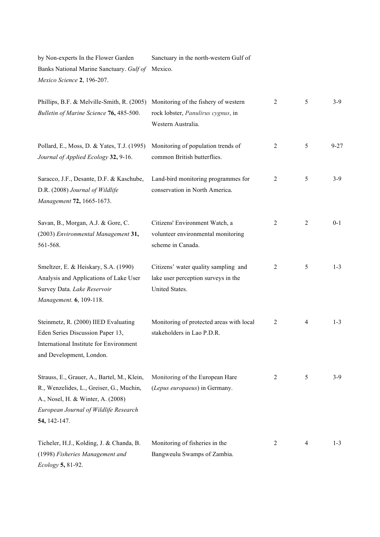by Non-experts In the Flower Garden Banks National Marine Sanctuary. *Gulf of*  Mexico. *Mexico Science* **2**, 196-207. Sanctuary in the north-western Gulf of

| Phillips, B.F. & Melville-Smith, R. (2005)<br>Bulletin of Marine Science 76, 485-500.                                                                                                 | Monitoring of the fishery of western<br>rock lobster, Panulirus cygnus, in<br>Western Australia. | $\overline{2}$ | 5              | $3-9$    |
|---------------------------------------------------------------------------------------------------------------------------------------------------------------------------------------|--------------------------------------------------------------------------------------------------|----------------|----------------|----------|
| Pollard, E., Moss, D. & Yates, T.J. (1995)<br>Journal of Applied Ecology 32, 9-16.                                                                                                    | Monitoring of population trends of<br>common British butterflies.                                | $\overline{2}$ | 5              | $9 - 27$ |
| Saracco, J.F., Desante, D.F. & Kaschube,<br>D.R. (2008) Journal of Wildlife<br>Management 72, 1665-1673.                                                                              | Land-bird monitoring programmes for<br>conservation in North America.                            | 2              | 5              | $3-9$    |
| Savan, B., Morgan, A.J. & Gore, C.<br>(2003) Environmental Management 31,<br>561-568.                                                                                                 | Citizens' Environment Watch, a<br>volunteer environmental monitoring<br>scheme in Canada.        | 2              | $\overline{c}$ | $0 - 1$  |
| Smeltzer, E. & Heiskary, S.A. (1990)<br>Analysis and Applications of Lake User<br>Survey Data. Lake Reservoir<br>Management. 6, 109-118.                                              | Citizens' water quality sampling and<br>lake user perception surveys in the<br>United States.    | 2              | 5              | $1 - 3$  |
| Steinmetz, R. (2000) IIED Evaluating<br>Eden Series Discussion Paper 13,<br>International Institute for Environment<br>and Development, London.                                       | Monitoring of protected areas with local<br>stakeholders in Lao P.D.R.                           | $\overline{2}$ | $\overline{4}$ | $1 - 3$  |
| Strauss, E., Grauer, A., Bartel, M., Klein,<br>R., Wenzelides, L., Greiser, G., Muchin,<br>A., Nosel, H. & Winter, A. (2008)<br>European Journal of Wildlife Research<br>54, 142-147. | Monitoring of the European Hare<br>(Lepus europaeus) in Germany.                                 | 2              | 5              | $3-9$    |
| Ticheler, H.J., Kolding, J. & Chanda, B.<br>(1998) Fisheries Management and<br>Ecology 5, 81-92.                                                                                      | Monitoring of fisheries in the<br>Bangweulu Swamps of Zambia.                                    | 2              | 4              | $1 - 3$  |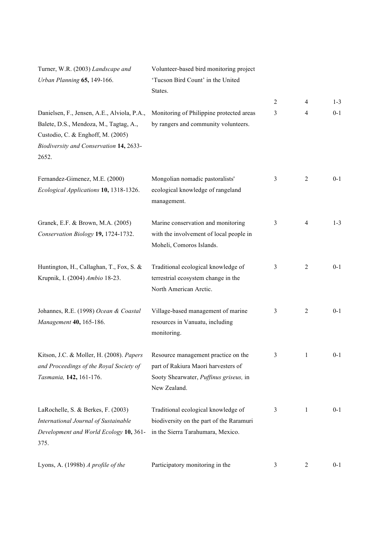| Turner, W.R. (2003) Landscape and<br>Urban Planning 65, 149-166.                                                                                                               | Volunteer-based bird monitoring project<br>'Tucson Bird Count' in the United<br>States.                                              |                |                |         |
|--------------------------------------------------------------------------------------------------------------------------------------------------------------------------------|--------------------------------------------------------------------------------------------------------------------------------------|----------------|----------------|---------|
|                                                                                                                                                                                |                                                                                                                                      | $\overline{2}$ | $\overline{4}$ | $1 - 3$ |
| Danielsen, F., Jensen, A.E., Alviola, P.A.,<br>Balete, D.S., Mendoza, M., Tagtag, A.,<br>Custodio, C. & Enghoff, M. (2005)<br>Biodiversity and Conservation 14, 2633-<br>2652. | Monitoring of Philippine protected areas<br>by rangers and community volunteers.                                                     | 3              | $\overline{4}$ | $0 - 1$ |
| Fernandez-Gimenez, M.E. (2000)<br>Ecological Applications 10, 1318-1326.                                                                                                       | Mongolian nomadic pastoralists'<br>ecological knowledge of rangeland<br>management.                                                  | 3              | $\overline{2}$ | $0 - 1$ |
| Granek, E.F. & Brown, M.A. (2005)<br>Conservation Biology 19, 1724-1732.                                                                                                       | Marine conservation and monitoring<br>with the involvement of local people in<br>Moheli, Comoros Islands.                            | 3              | $\overline{4}$ | $1 - 3$ |
| Huntington, H., Callaghan, T., Fox, S. &<br>Krupnik, I. (2004) Ambio 18-23.                                                                                                    | Traditional ecological knowledge of<br>terrestrial ecosystem change in the<br>North American Arctic.                                 | 3              | $\overline{2}$ | $0 - 1$ |
| Johannes, R.E. (1998) Ocean & Coastal<br>Management 40, 165-186.                                                                                                               | Village-based management of marine<br>resources in Vanuatu, including<br>monitoring.                                                 | 3              | $\overline{2}$ | $0 - 1$ |
| Kitson, J.C. & Moller, H. (2008). Papers<br>and Proceedings of the Royal Society of<br>Tasmania, 142, 161-176.                                                                 | Resource management practice on the<br>part of Rakiura Maori harvesters of<br>Sooty Shearwater, Puffinus griseus, in<br>New Zealand. | 3              | 1              | $0 - 1$ |
| LaRochelle, S. & Berkes, F. (2003)<br>International Journal of Sustainable<br>Development and World Ecology 10, 361-<br>375.                                                   | Traditional ecological knowledge of<br>biodiversity on the part of the Raramuri<br>in the Sierra Tarahumara, Mexico.                 | 3              | 1              | $0 - 1$ |
| Lyons, A. (1998b) A profile of the                                                                                                                                             | Participatory monitoring in the                                                                                                      | 3              | $\overline{2}$ | $0 - 1$ |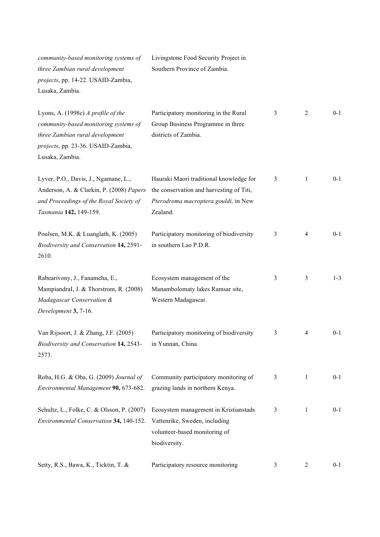| community-based monitoring systems of<br>three Zambian rural development<br>projects, pp. 14-22. USAID-Zambia,<br>Lusaka, Zambia.                                       | Livingstone Food Security Project in<br>Southern Province of Zambia.                                                                    |   |   |         |
|-------------------------------------------------------------------------------------------------------------------------------------------------------------------------|-----------------------------------------------------------------------------------------------------------------------------------------|---|---|---------|
| Lyons, A. (1998c) A profile of the<br>community-based monitoring systems of<br>three Zambian rural development<br>projects, pp. 23-36. USAID-Zambia,<br>Lusaka, Zambia. | Participatory monitoring in the Rural<br>Group Business Programme in three<br>districts of Zambia.                                      | 3 | 2 | $0 - 1$ |
| Lyver, P.O., Davis, J., Ngamane, L.,<br>Anderson, A. & Clarkin, P. (2008) Papers<br>and Proceedings of the Royal Society of<br>Tasmania 142, 149-159.                   | Hauraki Maori traditional knowledge for<br>the conservation and harvesting of Titi,<br>Pterodroma macroptera gouldi, in New<br>Zealand. | 3 | 1 | $0 - 1$ |
| Poulsen, M.K. & Luanglath, K. (2005)<br>Biodiversity and Conservation 14, 2591-<br>2610.                                                                                | Participatory monitoring of biodiversity<br>in southern Lao P.D.R.                                                                      | 3 | 4 | $0 - 1$ |
| Rabearivony, J., Fanameha, E.,<br>MampiandraI, J. & Thorstrom, R. (2008)<br>Madagascar Conservation &<br>Development 3, 7-16.                                           | Ecosystem management of the<br>Manambolomaty lakes Ramsar site,<br>Western Madagascar.                                                  | 3 | 3 | $1 - 3$ |
| Van Rijsoort, J. & Zhang, J.F. (2005)<br>Biodiversity and Conservation 14, 2543-<br>2573.                                                                               | Participatory monitoring of biodiversity<br>in Yunnan, China.                                                                           | 3 | 4 | $0 - 1$ |
| Roba, H.G. & Oba, G. (2009) Journal of<br>Environmental Management 90, 673-682.                                                                                         | Community participatory monitoring of<br>grazing lands in northern Kenya.                                                               | 3 | 1 | $0 - 1$ |
| Schultz, L., Folke, C. & Olsson, P. (2007)<br>Environmental Conservation 34, 140-152.                                                                                   | Ecosystem management in Kristianstads<br>Vattenrike, Sweden, including<br>volunteer-based monitoring of<br>biodiversity.                | 3 | 1 | $0 - 1$ |
| Setty, R.S., Bawa, K., Ticktin, T. &                                                                                                                                    | Participatory resource monitoring                                                                                                       | 3 | 2 | $0 - 1$ |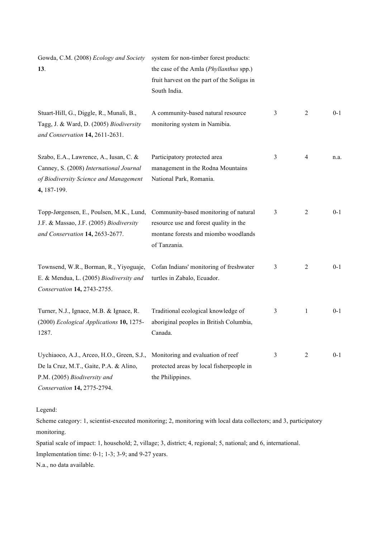| Gowda, C.M. (2008) Ecology and Society<br>13.                                                                                                       | system for non-timber forest products:<br>the case of the Amla (Phyllanthus spp.)<br>fruit harvest on the part of the Soligas in<br>South India. |   |                |         |  |  |  |
|-----------------------------------------------------------------------------------------------------------------------------------------------------|--------------------------------------------------------------------------------------------------------------------------------------------------|---|----------------|---------|--|--|--|
| Stuart-Hill, G., Diggle, R., Munali, B.,<br>Tagg, J. & Ward, D. (2005) Biodiversity<br>and Conservation 14, 2611-2631.                              | A community-based natural resource<br>monitoring system in Namibia.                                                                              | 3 | 2              | $0 - 1$ |  |  |  |
| Szabo, E.A., Lawrence, A., Iusan, C. &<br>Canney, S. (2008) International Journal<br>of Biodiversity Science and Management<br>4, 187-199.          | Participatory protected area<br>management in the Rodna Mountains<br>National Park, Romania.                                                     | 3 | $\overline{4}$ | n.a.    |  |  |  |
| Topp-Jørgensen, E., Poulsen, M.K., Lund,<br>J.F. & Massao, J.F. (2005) Biodiversity<br>and Conservation 14, 2653-2677.                              | Community-based monitoring of natural<br>resource use and forest quality in the<br>montane forests and miombo woodlands<br>of Tanzania.          | 3 | 2              | $0 - 1$ |  |  |  |
| Townsend, W.R., Borman, R., Yiyoguaje,<br>E. & Mendua, L. (2005) Biodiversity and<br>Conservation 14, 2743-2755.                                    | Cofan Indians' monitoring of freshwater<br>turtles in Zabalo, Ecuador.                                                                           | 3 | $\overline{2}$ | $0 - 1$ |  |  |  |
| Turner, N.J., Ignace, M.B. & Ignace, R.<br>(2000) Ecological Applications 10, 1275-<br>1287.                                                        | Traditional ecological knowledge of<br>aboriginal peoples in British Columbia,<br>Canada.                                                        | 3 | 1              | $0 - 1$ |  |  |  |
| Uychiaoco, A.J., Arceo, H.O., Green, S.J.,<br>De la Cruz, M.T., Gaite, P.A. & Alino,<br>P.M. (2005) Biodiversity and<br>Conservation 14, 2775-2794. | Monitoring and evaluation of reef<br>protected areas by local fisherpeople in<br>the Philippines.                                                | 3 | 2              | $0 - 1$ |  |  |  |

Legend:

Scheme category: 1, scientist-executed monitoring; 2, monitoring with local data collectors; and 3, participatory monitoring.

Spatial scale of impact: 1, household; 2, village; 3, district; 4, regional; 5, national; and 6, international.

Implementation time: 0-1; 1-3; 3-9; and 9-27 years.

N.a., no data available.